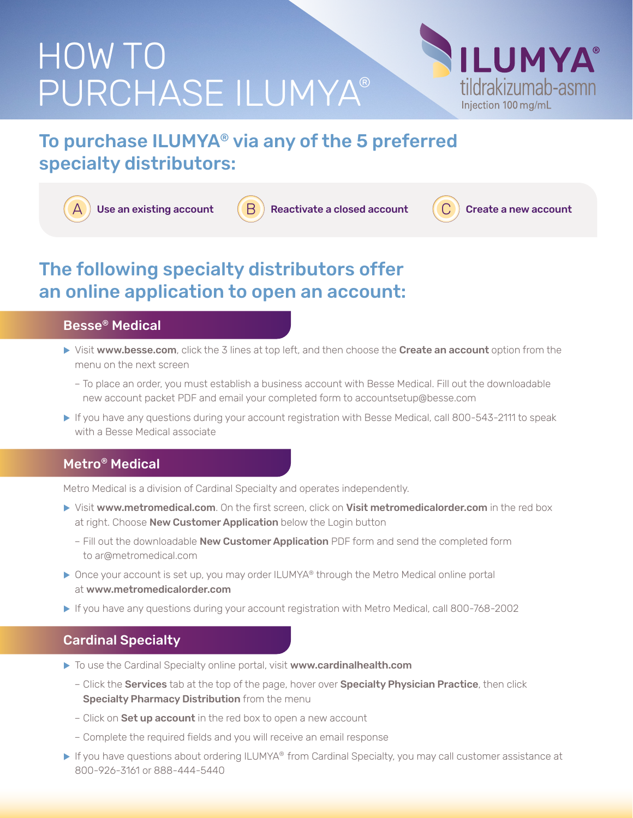# HOW TO PURCHASE ILUMYA®



# To purchase ILUMYA® via any of the 5 preferred specialty distributors:

Use an existing account  $\begin{pmatrix} B \end{pmatrix}$  Reactivate a closed account  $\begin{pmatrix} C \end{pmatrix}$  Create a new account

## The following specialty distributors offer an online application to open an account:

### Besse® Medical

- If Visit www.besse.com, click the 3 lines at top left, and then choose the Create an account option from the menu on the next screen
	- To place an order, you must establish a business account with Besse Medical. Fill out the downloadable new account packet PDF and email your completed form to accountsetup@besse.com
- If you have any questions during your account registration with Besse Medical, call 800-543-2111 to speak with a Besse Medical associate

## Metro® Medical

Metro Medical is a division of Cardinal Specialty and operates independently.

- In Visit www.metromedical.com. On the first screen, click on Visit metromedicalorder.com in the red box at right. Choose New Customer Application below the Login button
	- Fill out the downloadable New Customer Application PDF form and send the completed form to ar@metromedical.com
- ▶ Once your account is set up, you may order ILUMYA® through the Metro Medical online portal at www.metromedicalorder.com
- If you have any questions during your account registration with Metro Medical, call 800-768-2002

#### Cardinal Specialty

- ▶ To use the Cardinal Specialty online portal, visit www.cardinalhealth.com
	- Click the Services tab at the top of the page, hover over Specialty Physician Practice, then click Specialty Pharmacy Distribution from the menu
	- Click on **Set up account** in the red box to open a new account
	- Complete the required fields and you will receive an email response
- ▶ If you have questions about ordering ILUMYA® from Cardinal Specialty, you may call customer assistance at 800-926-3161 or 888-444-5440